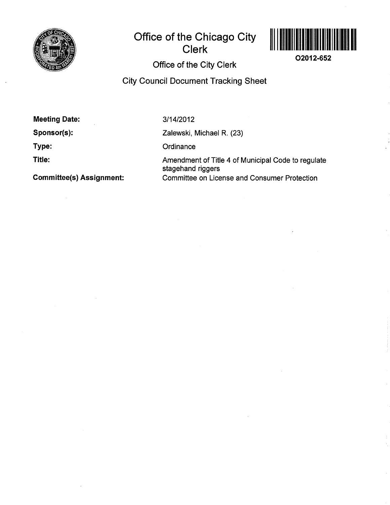

# Office of the Chicago City<br>Clerk<br>Office of the City Clerk



o2012-652

City Council Document Tracking Sheet

Meeting Date:

Sponsor(s):

Type:

Title:

3/14/2012

Zalewski, Michael R. (23)

**Ordinance** 

Amendment of Title 4 of Municipal Code to regulate stagehand riggers Gommittee(s) Assignment: Committee on License and Consumer Protection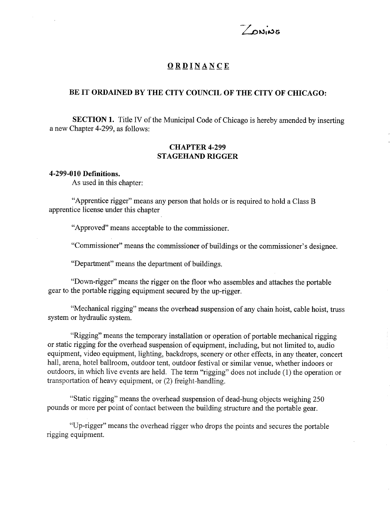

# ORDINANCE

# BE IT ORDAINED BY THE CITY COUNCIL OF THE CITY OF CHICAGO:

SECTION 1. Title IV of the Municipal Code of Chicago is hereby amended by inserting a new Chapter 4-299, as follows:

# CHAPTER 4.299 STAGEHAND RIGGER

#### 4-299 -010 DefÏnitions.

As used in this chapter:

"Apprentice rigger" means any person that holds or is required to hold a Class B apprentice license under this chapter

"Approved" means acceptable to the commissioner.

"Commissioner" means the commissioner of buildings or the commissioner's designee.

"Department" means the department of buildings.

"Down-rigger" means the rigger on the floor who assembles and attaches the portable gear to the portable rigging equipment secured by the up-rigger.

"Mechanical rigging" means the overhead suspension of any chain hoist, cable hoist, truss system or hydraulic system.

"Rigging" means the temporary installation or operation of portable mechanical rigging or static rigging for the overhead suspension of equipment, including, but not limited to, audio equipment, video equipment, lighting, backdrops, scenery or other effects, in any theater, concert hall, arena, hotel ballroom, outdoor tent, outdoor festival or similar venue, whether indoors or outdoors, in which live events are held. The term "rigging" does not include (l) the operation or transportation of heavy equipment, or (2) freight-handling.

"Static rigging" means the overhead suspension of dead-hung objects weighing 250 pounds or more per point of contact between the building structure and the portable gear.

"Up-rigger" means the overhead rigger who drops the points and secures the portable rigging equipment.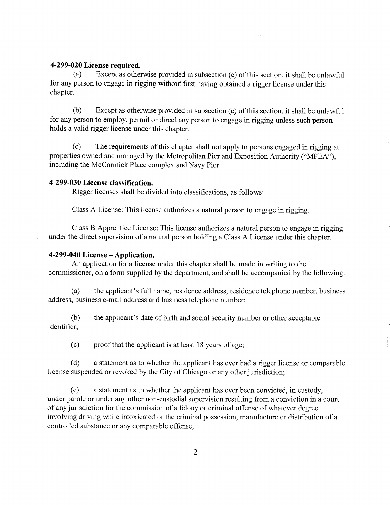#### 4-299 -020 License required.

(a) Except as otherwise provided in subsection (c) of this section, it shall be unlawful for any person to engage in rigging without first having obtained a rigger license under this chapter.

(b) Except as otherwise provided in subsection (c) of this section, it shall be unlawful for any person to employ, permit or direct any person to engage in rigging unless such person holds a valid rigger license under this chapter.

(c) The requirements of this chapter shall not apply to persons engaged in rigging at properties owned and managed by the Metropolitan Pier and Exposition Authority ("MPEA"), including the McCormick Place complex and Navy Pier.

### 4-299 -030 License classification.

Rigger licenses shall be divided into classifications, as follows:

Class A License: This license authorizes a natural person to engage in rigging.

Class B Apprentice License: This license authorizes a natural person to engage in rigging under the direct supervision of a natural person holding a Class A License under this chapter.

#### 4-299-040 License - Application.

An application for a license under this chapter shall be made in writing to the commissioner, on a form supplied by the department, and shall be accompanied by the following:

(a) the applicant's full name, residence address, residence telephone number, business address, business e-mail address and business telephone number;

(b) the applicant's date of birth and social security number or other acceptable identifier;

(c) proof that the applicant is at least 18 years of age;

(d) a statement as to whether the applicant has ever had a rigger license or comparable license suspended or revoked by the City of Chicago or any other jurisdiction;

(e) a statement as to whether the applicant has ever been convicted, in custody, under parole or under any other non-custodial supervision resulting from a conviction in a court of any jurisdiction for the commission of a felony or criminal offense of whatever degree involving driving while intoxicated or the criminal possession, manufacture or distribution of a controlled substance or any comparable offense;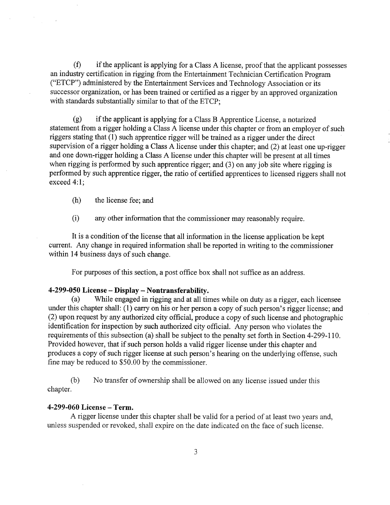$(f)$  if the applicant is applying for a Class A license, proof that the applicant possesses an industry certification in rigging from the Entertainment Technician Certification Program ("ETCP") administered by the Entertainment Services and Technology Association or its successor organization, or has been trained or certified as a rigger by an approved organization with standards substantially similar to that of the ETCP;

(g) if the applicant is applying for a Class B Apprentice License, anotarized statement from a rigger holding a Class A license under this chapter or from an employer of such riggers stating that (1) such apprentice rigger will be trained as a rigger under the direct supervision of a rigger holding a Class A license under this chapter; and (2) at least one up-rigger and one down-rigger holding a Class A license under this chapter will be present at all times when rigging is performed by such apprentice rigger; and (3) on any job site where rigging is performed by such apprentice rigger, the ratio of certified apprentices to licensed riggers shall not exceed 4:1;

(h) the license fee; and

(i) any other information that the commissioner may reasonably require.

It is a condition of the license that all information in the license application be kept current. Any change in required information shall be reported in writing to the commissioner within 14 business days of such change.

For purposes of this section, a post office box shall not suffice as an address.

# 4-299-050 License – Display – Nontransferability.<br>(a) While engaged in rigging and at all tin

While engaged in rigging and at all times while on duty as a rigger, each licensee under this chapter shall:  $(1)$  carry on his or her person a copy of such person's rigger license; and (2) upon request by any authorized city official, produce a copy of such license and photographic identification for inspection by such authorized city official. Any person who violates the requirements of this subsection (a) shall be subject to the penalty set forth in Section 4-299-110. Provided however, that if such person holds a valid rigger license under this chapter and produces a copy of such rigger license at such person's hearing on the underlying offense, such fine may be reduced to \$50.00 by the commissioner.

(b) No transfer of ownership shall be allowed on any license issued under this chapter.

# 4-299-060 License - Term.

A rigger license under this chapter shall be valid for a period of at least two years and, unless suspended or revoked, shall expire on the date indicated on the face of such license.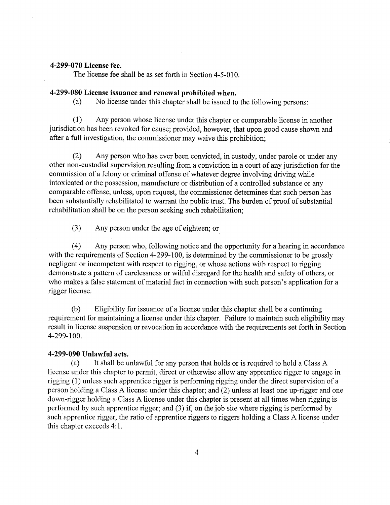#### 4-299-070 License fee.

The license fee shall be as set forth in Section 4-5-010.

## 4-299-080 License issuance and renewal prohibited when.

(a) No license under this chapter shall be issued to the following persons:

(l) Any person whose license under this chapter or comparable license in another jurisdiction has been revoked for cause; provided, however, that upon good cause shown and after a full investigation, the commissioner may waive this prohibition;

(2) Any person who has ever been convicted, in custody, under parole or under any other non-custodial supervision resulting from a conviction in a court of any jurisdiction for the commission of a felony or criminal offense of whatever degree involving driving while intoxicated or the possession, manufacture or distribution of a controlled substance or any comparable offense, unless, upon request, the commissioner determines that such person has been substantially rehabilitated to warrant the public trust. The burden of proof of substantial rehabilitation shall be on the person seeking such rehabilitation;

(3) Any person under the age of eighteen; or

(4) Any person who, following notice and the opportunity for a hearing in accordance with the requirements of Section 4-299-100, is determined by the commissioner to be grossly negligent or incompetent with respect to rigging, or whose actions with respect to rigging demonstrate a pattern of carelessness or wilful disregard for the health and safety of others, or who makes a false statement of material fact in connection with such person's application for a rigger license.

(b) Eligibility for issuance of a license under this chapter shall be a continuing requirement for maintaining a license under this chapter. Failure to maintain such eligibilify may result in license suspension or revocation in accordance with the requirements set forth in Section 4-299-100.

#### 4-299-090 Unlawful acts.

(a) It shall be unlawful for any person that holds or is required to hold a Class A license under this chapter to permit, direct or otherwise allow any apprentice rigger to engage in rigging (1) unless such apprentice rigger is performing rigging under the direct supervision of <sup>a</sup> person holding a Class A license under this chapter; and (2) unless at least one up-rigger and one down-rigger holding a Class A license under this chapter is present at all times when rigging is performed by such apprentice rigger; and (3) if, on the job site where rigging is performed by such apprentice rigger, the ratio of apprentice riggers to riggers holding a Class A license under this chapter exceeds 4:1.

 $\overline{4}$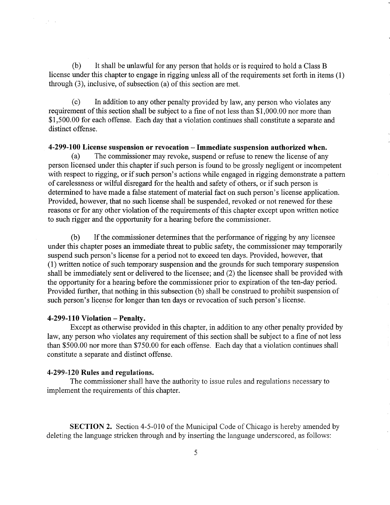(b) It shall be unlawful for any person that holds or is required to hold a Class <sup>B</sup> license under this chapter to engage in rigging unless all of the requirements set forth in items (1) through (3), inclusive, of subsection (a) of this section are met.

(c) In addition to any other penalty provided by law, any person who violates any requirement of this section shall be subject to a fine of not less than \$1,000.00 nor more than \$1,500.00 for each offense. Each day that a violation continues shall constitute a separate and distinct offense.

# 4-299-100 License suspension or revocation  $-$  Immediate suspension authorized when.<br>(a) The commissioner may revoke, suspend or refuse to renew the license of any

The commissioner may revoke, suspend or refuse to renew the license of any person licensed under this chapter if such person is found to be grossly negligent or incompetent with respect to rigging, or if such person's actions while engaged in rigging demonstrate a pattem of carelessness or wilful disregard for the health and safety of others, or if such person is determined to have made a false statement of material fact on such person's license application. Provided, however, that no such license shall be suspended, revoked or not renewed for these reasons or for any other violation of the requirements of this chapter except upon written notice to such rigger and the opportunity for a hearing before the commissioner.

(b) If the commissioner determines that the performance of rigging by any licensee under this chapter poses an immediate threat to public safety, the commissioner may temporarily suspend such person's license for a period not to exceed ten days. Provided, however, that (1) written notice of such temporary suspension and the grounds for such temporary suspension shall be immediately sent or delivered to the licensee; and (2) the licensee shall be provided with the opportunity for a hearing before the commissioner prior to expiration of the ten-day period. Provided further, that nothing in this subsection (b) shall be construed to prohibit suspension of such person's license for longer than ten days or revocation of such person's license.

#### $4-299-110$  Violation - Penalty.

 $\frac{1}{2} \delta \sim 1$ 

Except as otherwise provided in this chapter, in addition to any other penalty provided by law, any person who violates any requirement of this section shall be subject to a fine of not less than \$500.00 nor more than \$750.00 for each offense. Each day that a violatìon continues shall constitute a separate and distinct offense.

#### 4-299-120 Rules and regulations.

The commissioner shall have the authority to issue rules and regulations necessary to implement the requirements of this chapter.

SECTION 2. Section 4-5-010 of the Municipal Code of Chicago is hereby amended by deleting the language stricken through and by inserting the language underscored, as follows: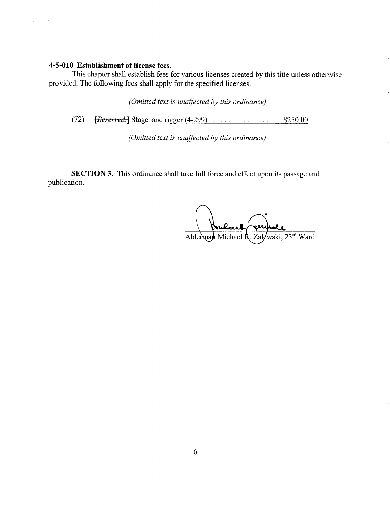# 4-5-010 Establishment of license fees.

This chapter shall establish fees for various licenses created by this title unless otherwise provided. The following fees shall apply for the specified licenses.

(Omitted text is unaffected by this ordinance)

(72) W] Stagehand rigger (4-299) . . . . . . . . . . . . . . . . . . . .\$250.00

(Omitted text is unafficted by this ordinance)

SECTION 3. This ordinance shall take full force and effect upon its passage and publication.

Zalewski. Alderman Michael R 23rd Ward